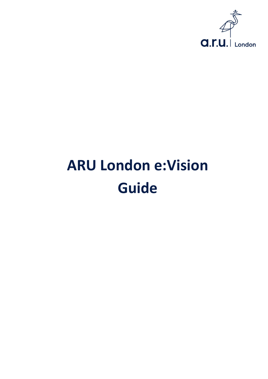

# **ARU London e:Vision Guide**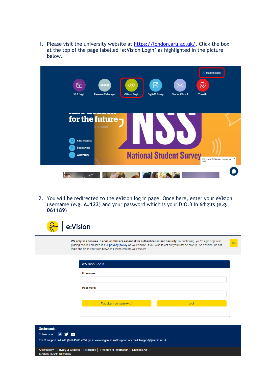1. Please visit the university website at [https://london.aru.ac.uk/.](https://london.aru.ac.uk/) Click the box at the top of the page labelled 'e:Vision Login' as highlighted in the picture below.



2. You will be redirected to the eVision log in page. Once here, enter your eVision username (**e.g. AJ123**) and your password which is your D.O.B in 6digits (**e.g. 061189**)



For IT support call +44 (0)1245 68 4357 go to www.anglia.ac.uk/itsupport or email itsupport@anglia.ac.uk

Accessibility | Privacy & Cookies | Disclaimer | Freedom of Information | Charities Act © Anglia Ruskin University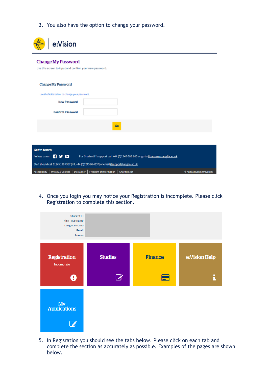3. You also have the option to change your password.

| e:Vision                                                                                                  |                            |
|-----------------------------------------------------------------------------------------------------------|----------------------------|
| <b>Change My Password</b><br>Use this screen to input and confirm your new password.                      |                            |
| <b>Change My Password</b>                                                                                 |                            |
| Use the fields below to change your password.                                                             |                            |
| <b>New Password</b>                                                                                       |                            |
| <b>Confirm Password</b>                                                                                   |                            |
| Go                                                                                                        |                            |
|                                                                                                           |                            |
| <b>Get in touch</b>                                                                                       |                            |
| 6 Y O<br>For Student IT support call +44 (0)1245 686 600 or go to libanswers.anglia.ac.uk<br>Follow us on |                            |
| Staff should call 01245 196 4357 (Int. +44 (0)1245 68 4357) or email itsupport@anglia.ac.uk               |                            |
| Accessibility   Privacy & Cookies   Disclaimer   Freedom of Information   Charities Act                   | C Anglia Ruskin University |

4. Once you login you may notice your Registration is incomplete. Please click Registration to complete this section.



5. In Regisration you should see the tabs below. Please click on each tab and complete the section as accurately as possible. Examples of the pages are shown below.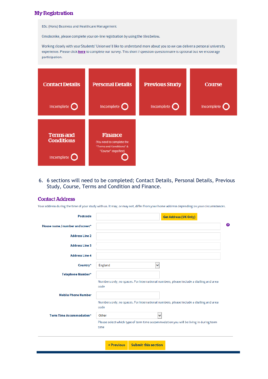## **My Registration**

**BSc (Hons) Business and Healthcare Management** 

Omobonike, please complete your on-line registration by using the tiles below.

Working closely with your Students' Union we'd like to understand more about you so we can deliver a personal university experience. Please click here to complete our survey. This short 7 question questionnaire is optional but we encourage participation.

| <b>Contact Details</b>                              | <b>Personal Details</b>                                                                                                                                                                                                        | <b>Previous Study</b> | <b>Course</b> |
|-----------------------------------------------------|--------------------------------------------------------------------------------------------------------------------------------------------------------------------------------------------------------------------------------|-----------------------|---------------|
| Incomplete                                          | Incomplete of the local part of the local part of the local state of the local state of the local state of the local state of the local state of the local state of the local state of the local state of the local state of t | Incomplete <b>O</b>   | Incomplete    |
| <b>Terms</b> and<br><b>Conditions</b><br>Incomplete | <b>Finance</b><br>(You need to complete the<br>"Terms and Conditions" &<br>"Course" steps first)                                                                                                                               |                       |               |

6. 6 sections will need to be completed; Contact Details, Personal Details, Previous Study, Course, Terms and Condition and Finance.

### **Contact Address**

Your address during the time of your study with us. It may, or may not, differ from your home address depending on your circumstances.

| Postcode                        | <b>Get Address (UK Only)</b>                                                                   |
|---------------------------------|------------------------------------------------------------------------------------------------|
| House name / number and street* |                                                                                                |
| <b>Address Line 2</b>           |                                                                                                |
| <b>Address Line 3</b>           |                                                                                                |
| <b>Address Line 4</b>           |                                                                                                |
| Country*                        | England<br>$\checkmark$                                                                        |
| Telephone Number*               |                                                                                                |
|                                 |                                                                                                |
|                                 | Numbers only, no spaces. For International numbers, please include a dialling and area<br>code |
| <b>Mobile Phone Number</b>      |                                                                                                |
|                                 | Numbers only, no spaces. For International numbers, please include a dialling and area<br>code |
| Term Time Accommodation*        | Other<br>v                                                                                     |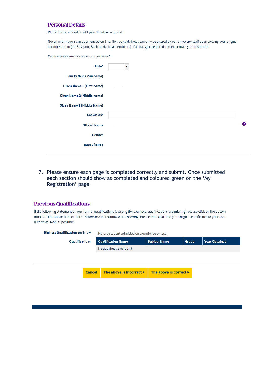## **Personal Details**

Please check, amend or add your details as required.

Not all information can be amended on-line. Non-editable fields can only be altered by our University staff upon viewing your original documentation (i.e. Passport, Birth or Marriage certificate). If a change is required, please contact your Institution.

Required fields are marked with an asterisk\*.

| Title*                            | $\checkmark$ |   |
|-----------------------------------|--------------|---|
| <b>Family Name (Surname)</b>      |              |   |
| <b>Given Name 1 (First name)</b>  |              |   |
| Given Name 2 (Middle name)        |              |   |
| <b>Given Name 3 (Middle Name)</b> |              |   |
| Known As*                         |              |   |
| <b>Official Name</b>              |              | ❷ |
| Gender                            |              |   |
| <b>Date of Birth</b>              |              |   |
|                                   |              |   |

7. Please ensure each page is completed correctly and submit. Once submitted each section should show as completed and coloured green on the 'My Registration' page.

#### **Previous Qualifications**

If the following statement of your formal qualifications is wrong (for example, qualifications are missing), please click on the button marked "The above is Incorrect >" below and let us know what is wrong. Please then also take your original certificates to your local iCentre as soon as possible.

| <b>Qualifications</b> | <b>Qualification Name</b> | <b>Subject Name</b>     | Grade | <b>Year Obtained</b>   |
|-----------------------|---------------------------|-------------------------|-------|------------------------|
|                       |                           |                         |       |                        |
|                       |                           |                         |       |                        |
|                       | The above is Incorrect >  |                         |       |                        |
|                       | <b>Cancel</b>             | No qualifications found |       | The above is Correct > |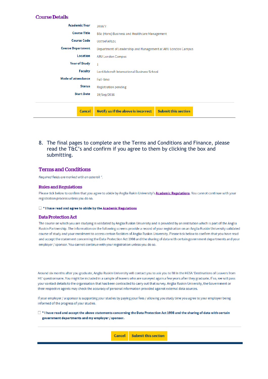#### **Course Details**

| Academic Year             | 2016/7                                                            |
|---------------------------|-------------------------------------------------------------------|
| <b>Course Title</b>       | BSc (Hons) Business and Healthcare Management                     |
| <b>Course Code</b>        | <b>U0754FARL01</b>                                                |
| <b>Course Department</b>  | Department of Leadership and Management at ARU London Campus      |
| Location                  | <b>ARU London Campus</b>                                          |
| <b>Year of Study</b>      |                                                                   |
| <b>Faculty</b>            | Lord Ashcroft International Business School                       |
| <b>Mode of attendance</b> | <b>Full-time</b>                                                  |
| <b>Status</b>             | <b>Registration pending</b>                                       |
| <b>Start Date</b>         | 19/Sep/2016                                                       |
|                           |                                                                   |
| Cancel                    | <b>Submit this section</b><br>Notify us if the above is incorrect |

8. The final pages to complete are the Terms and Conditions and Finance, please read the T&C's and confirm if you agree to them by clicking the box and submitting.

#### **Terms and Conditions**

Reauired fields are marked with an asterisk ".

#### **Rules and Regulations**

Please tick below to confirm that you agree to abide by Anglia Rukin University's **Academic Regulations**. You cannot continue with your registration process unless you do so.

#### □ \* I have read and agree to abide by the Academic Regulations

#### **Data Protection Act**

The course on which you are studying is validated by Anglia Ruskin University and is provided by an institution which is part of the Anglia Ruskin Partnership. The information on the following screens provide a record of your registration on an Anglia Ruskin University validated course of study and your enrolment to access certain facilities of Anglia Ruskin University. Please tick below to confirm that you have read and accept the statement concerning the Data Protection Act 1998 and the sharing of data with certain government departments and your employer / sponsor. You cannot continue with your registration unless you do so.

Around six months after you graduate, Anglia Ruskin University will contact you to ask you to fill in the HESA 'Destinations of Leavers from HE' questionnaire. You might be included in a sample of leavers who are surveyed again a few years after they graduate. If so, we will pass your contact details to the organisation that has been contracted to carry out that survey. Anglia Ruskin University, the Government or their respective agents may check the accuracy of personal information provided against external data sources.

If your employer / a sponsor is supporting your studies by paying your fees / allowing you study time you agree to your employer being informed of the progress of your studies.

 $\Box$  \* I have read and accept the above statements concerning the Data Protection Act 1998 and the sharing of data with certain government departments and my employer / sponsor.

> **Submit this section Cancel**